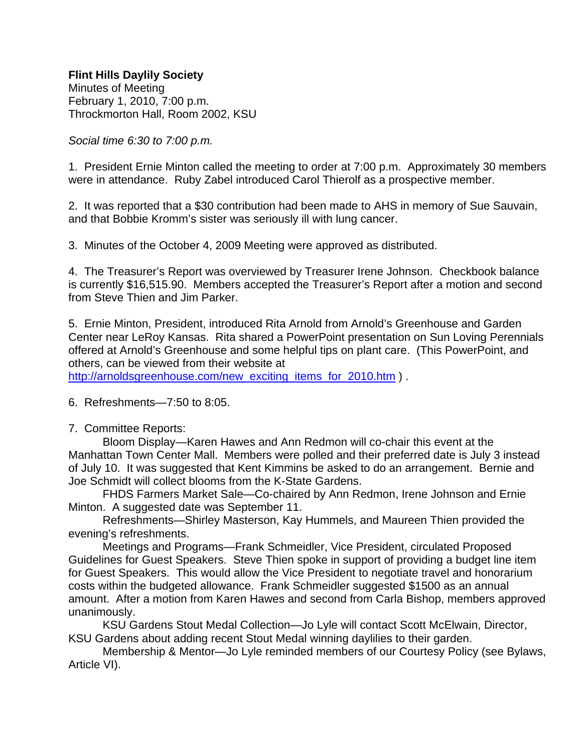Minutes of Meeting February 1, 2010, 7:00 p.m. Throckmorton Hall, Room 2002, KSU

*Social time 6:30 to 7:00 p.m.*

1. President Ernie Minton called the meeting to order at 7:00 p.m. Approximately 30 members were in attendance. Ruby Zabel introduced Carol Thierolf as a prospective member.

2. It was reported that a \$30 contribution had been made to AHS in memory of Sue Sauvain, and that Bobbie Kromm's sister was seriously ill with lung cancer.

3. Minutes of the October 4, 2009 Meeting were approved as distributed.

4. The Treasurer's Report was overviewed by Treasurer Irene Johnson. Checkbook balance is currently \$16,515.90. Members accepted the Treasurer's Report after a motion and second from Steve Thien and Jim Parker.

5. Ernie Minton, President, introduced Rita Arnold from Arnold's Greenhouse and Garden Center near LeRoy Kansas. Rita shared a PowerPoint presentation on Sun Loving Perennials offered at Arnold's Greenhouse and some helpful tips on plant care. (This PowerPoint, and others, can be viewed from their website at

http://arnoldsgreenhouse.com/new\_exciting\_items\_for\_2010.htm ) .

6. Refreshments—7:50 to 8:05.

7. Committee Reports:

 Bloom Display—Karen Hawes and Ann Redmon will co-chair this event at the Manhattan Town Center Mall. Members were polled and their preferred date is July 3 instead of July 10. It was suggested that Kent Kimmins be asked to do an arrangement. Bernie and Joe Schmidt will collect blooms from the K-State Gardens.

 FHDS Farmers Market Sale—Co-chaired by Ann Redmon, Irene Johnson and Ernie Minton. A suggested date was September 11.

 Refreshments—Shirley Masterson, Kay Hummels, and Maureen Thien provided the evening's refreshments.

 Meetings and Programs—Frank Schmeidler, Vice President, circulated Proposed Guidelines for Guest Speakers. Steve Thien spoke in support of providing a budget line item for Guest Speakers. This would allow the Vice President to negotiate travel and honorarium costs within the budgeted allowance. Frank Schmeidler suggested \$1500 as an annual amount. After a motion from Karen Hawes and second from Carla Bishop, members approved unanimously.

 KSU Gardens Stout Medal Collection—Jo Lyle will contact Scott McElwain, Director, KSU Gardens about adding recent Stout Medal winning daylilies to their garden.

 Membership & Mentor—Jo Lyle reminded members of our Courtesy Policy (see Bylaws, Article VI).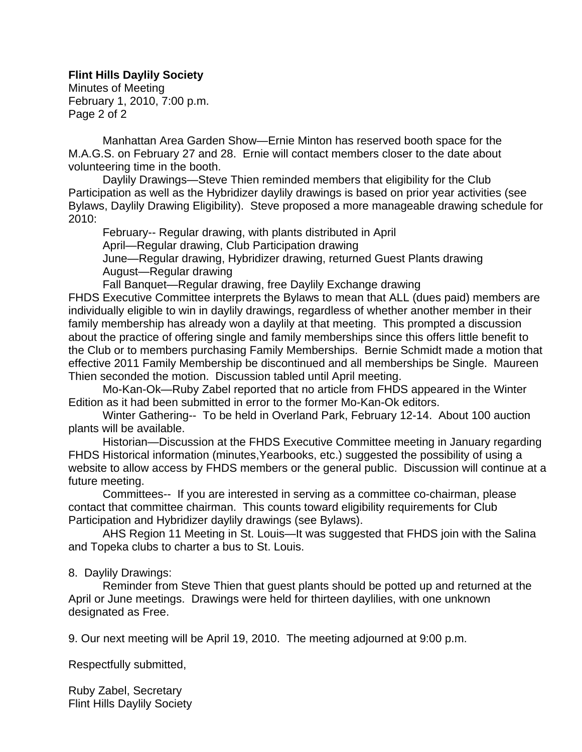Minutes of Meeting February 1, 2010, 7:00 p.m. Page 2 of 2

 Manhattan Area Garden Show—Ernie Minton has reserved booth space for the M.A.G.S. on February 27 and 28. Ernie will contact members closer to the date about volunteering time in the booth.

 Daylily Drawings—Steve Thien reminded members that eligibility for the Club Participation as well as the Hybridizer daylily drawings is based on prior year activities (see Bylaws, Daylily Drawing Eligibility). Steve proposed a more manageable drawing schedule for 2010:

 February-- Regular drawing, with plants distributed in April April—Regular drawing, Club Participation drawing June—Regular drawing, Hybridizer drawing, returned Guest Plants drawing August—Regular drawing

Fall Banquet—Regular drawing, free Daylily Exchange drawing

FHDS Executive Committee interprets the Bylaws to mean that ALL (dues paid) members are individually eligible to win in daylily drawings, regardless of whether another member in their family membership has already won a daylily at that meeting. This prompted a discussion about the practice of offering single and family memberships since this offers little benefit to the Club or to members purchasing Family Memberships. Bernie Schmidt made a motion that effective 2011 Family Membership be discontinued and all memberships be Single. Maureen Thien seconded the motion. Discussion tabled until April meeting.

 Mo-Kan-Ok—Ruby Zabel reported that no article from FHDS appeared in the Winter Edition as it had been submitted in error to the former Mo-Kan-Ok editors.

 Winter Gathering-- To be held in Overland Park, February 12-14. About 100 auction plants will be available.

 Historian—Discussion at the FHDS Executive Committee meeting in January regarding FHDS Historical information (minutes,Yearbooks, etc.) suggested the possibility of using a website to allow access by FHDS members or the general public. Discussion will continue at a future meeting.

 Committees-- If you are interested in serving as a committee co-chairman, please contact that committee chairman. This counts toward eligibility requirements for Club Participation and Hybridizer daylily drawings (see Bylaws).

 AHS Region 11 Meeting in St. Louis—It was suggested that FHDS join with the Salina and Topeka clubs to charter a bus to St. Louis.

## 8. Daylily Drawings:

 Reminder from Steve Thien that guest plants should be potted up and returned at the April or June meetings. Drawings were held for thirteen daylilies, with one unknown designated as Free.

9. Our next meeting will be April 19, 2010. The meeting adjourned at 9:00 p.m.

Respectfully submitted,

Ruby Zabel, Secretary Flint Hills Daylily Society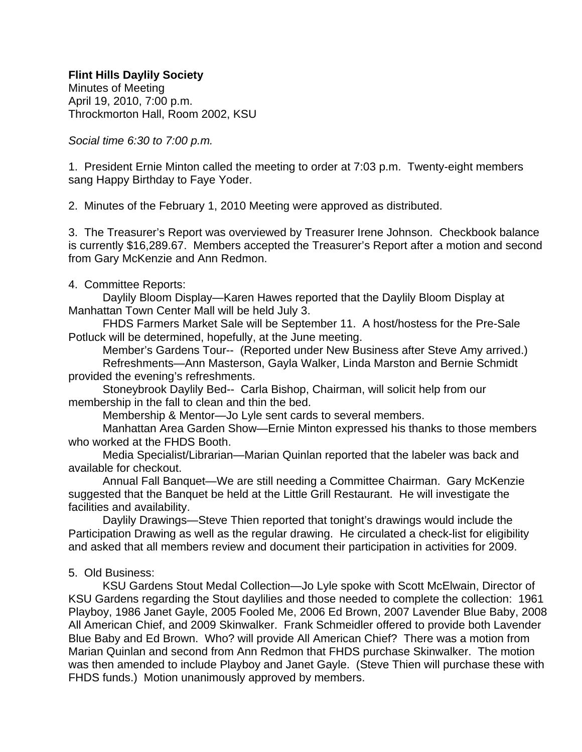Minutes of Meeting April 19, 2010, 7:00 p.m. Throckmorton Hall, Room 2002, KSU

*Social time 6:30 to 7:00 p.m.*

1. President Ernie Minton called the meeting to order at 7:03 p.m. Twenty-eight members sang Happy Birthday to Faye Yoder.

2. Minutes of the February 1, 2010 Meeting were approved as distributed.

3. The Treasurer's Report was overviewed by Treasurer Irene Johnson. Checkbook balance is currently \$16,289.67. Members accepted the Treasurer's Report after a motion and second from Gary McKenzie and Ann Redmon.

## 4. Committee Reports:

 Daylily Bloom Display—Karen Hawes reported that the Daylily Bloom Display at Manhattan Town Center Mall will be held July 3.

 FHDS Farmers Market Sale will be September 11. A host/hostess for the Pre-Sale Potluck will be determined, hopefully, at the June meeting.

 Member's Gardens Tour-- (Reported under New Business after Steve Amy arrived.) Refreshments—Ann Masterson, Gayla Walker, Linda Marston and Bernie Schmidt provided the evening's refreshments.

 Stoneybrook Daylily Bed-- Carla Bishop, Chairman, will solicit help from our membership in the fall to clean and thin the bed.

Membership & Mentor—Jo Lyle sent cards to several members.

 Manhattan Area Garden Show—Ernie Minton expressed his thanks to those members who worked at the FHDS Booth.

 Media Specialist/Librarian—Marian Quinlan reported that the labeler was back and available for checkout.

 Annual Fall Banquet—We are still needing a Committee Chairman. Gary McKenzie suggested that the Banquet be held at the Little Grill Restaurant. He will investigate the facilities and availability.

 Daylily Drawings—Steve Thien reported that tonight's drawings would include the Participation Drawing as well as the regular drawing. He circulated a check-list for eligibility and asked that all members review and document their participation in activities for 2009.

# 5. Old Business:

 KSU Gardens Stout Medal Collection—Jo Lyle spoke with Scott McElwain, Director of KSU Gardens regarding the Stout daylilies and those needed to complete the collection: 1961 Playboy, 1986 Janet Gayle, 2005 Fooled Me, 2006 Ed Brown, 2007 Lavender Blue Baby, 2008 All American Chief, and 2009 Skinwalker. Frank Schmeidler offered to provide both Lavender Blue Baby and Ed Brown. Who? will provide All American Chief? There was a motion from Marian Quinlan and second from Ann Redmon that FHDS purchase Skinwalker. The motion was then amended to include Playboy and Janet Gayle. (Steve Thien will purchase these with FHDS funds.) Motion unanimously approved by members.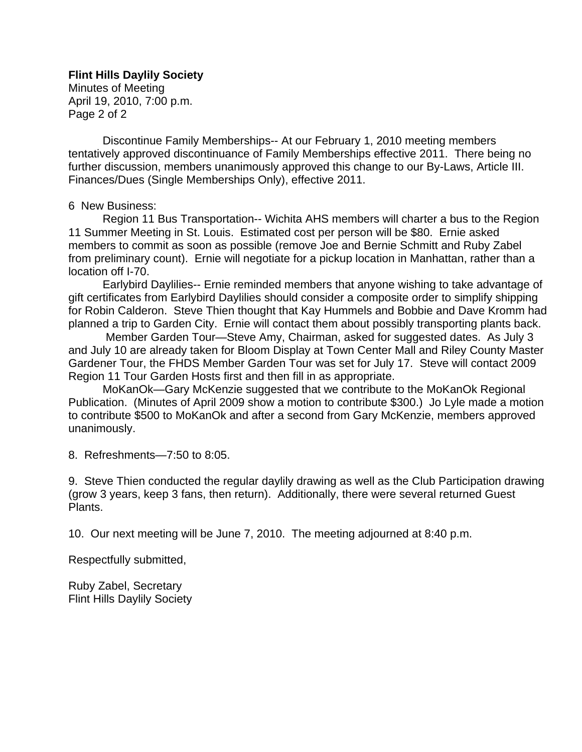Minutes of Meeting April 19, 2010, 7:00 p.m. Page 2 of 2

 Discontinue Family Memberships-- At our February 1, 2010 meeting members tentatively approved discontinuance of Family Memberships effective 2011. There being no further discussion, members unanimously approved this change to our By-Laws, Article III. Finances/Dues (Single Memberships Only), effective 2011.

## 6 New Business:

 Region 11 Bus Transportation-- Wichita AHS members will charter a bus to the Region 11 Summer Meeting in St. Louis. Estimated cost per person will be \$80. Ernie asked members to commit as soon as possible (remove Joe and Bernie Schmitt and Ruby Zabel from preliminary count). Ernie will negotiate for a pickup location in Manhattan, rather than a location off I-70.

 Earlybird Daylilies-- Ernie reminded members that anyone wishing to take advantage of gift certificates from Earlybird Daylilies should consider a composite order to simplify shipping for Robin Calderon. Steve Thien thought that Kay Hummels and Bobbie and Dave Kromm had planned a trip to Garden City. Ernie will contact them about possibly transporting plants back.

 Member Garden Tour—Steve Amy, Chairman, asked for suggested dates. As July 3 and July 10 are already taken for Bloom Display at Town Center Mall and Riley County Master Gardener Tour, the FHDS Member Garden Tour was set for July 17. Steve will contact 2009 Region 11 Tour Garden Hosts first and then fill in as appropriate.

 MoKanOk—Gary McKenzie suggested that we contribute to the MoKanOk Regional Publication. (Minutes of April 2009 show a motion to contribute \$300.) Jo Lyle made a motion to contribute \$500 to MoKanOk and after a second from Gary McKenzie, members approved unanimously.

8. Refreshments—7:50 to 8:05.

9. Steve Thien conducted the regular daylily drawing as well as the Club Participation drawing (grow 3 years, keep 3 fans, then return). Additionally, there were several returned Guest Plants.

10. Our next meeting will be June 7, 2010. The meeting adjourned at 8:40 p.m.

Respectfully submitted,

Ruby Zabel, Secretary Flint Hills Daylily Society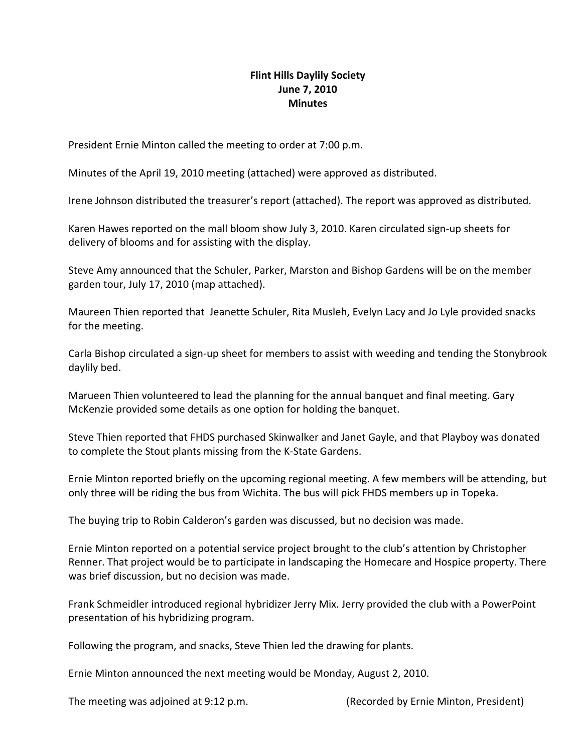## **Flint Hills Daylily Society June 7, 2010 Minutes**

President Ernie Minton called the meeting to order at 7:00 p.m.

Minutes of the April 19, 2010 meeting (attached) were approved as distributed.

Irene Johnson distributed the treasurer's report (attached). The report was approved as distributed.

Karen Hawes reported on the mall bloom show July 3, 2010. Karen circulated sign‐up sheets for delivery of blooms and for assisting with the display.

Steve Amy announced that the Schuler, Parker, Marston and Bishop Gardens will be on the member garden tour, July 17, 2010 (map attached).

Maureen Thien reported that Jeanette Schuler, Rita Musleh, Evelyn Lacy and Jo Lyle provided snacks for the meeting.

Carla Bishop circulated a sign‐up sheet for members to assist with weeding and tending the Stonybrook daylily bed.

Marueen Thien volunteered to lead the planning for the annual banquet and final meeting. Gary McKenzie provided some details as one option for holding the banquet.

Steve Thien reported that FHDS purchased Skinwalker and Janet Gayle, and that Playboy was donated to complete the Stout plants missing from the K‐State Gardens.

Ernie Minton reported briefly on the upcoming regional meeting. A few members will be attending, but only three will be riding the bus from Wichita. The bus will pick FHDS members up in Topeka.

The buying trip to Robin Calderon's garden was discussed, but no decision was made.

Ernie Minton reported on a potential service project brought to the club's attention by Christopher Renner. That project would be to participate in landscaping the Homecare and Hospice property. There was brief discussion, but no decision was made.

Frank Schmeidler introduced regional hybridizer Jerry Mix. Jerry provided the club with a PowerPoint presentation of his hybridizing program.

Following the program, and snacks, Steve Thien led the drawing for plants.

Ernie Minton announced the next meeting would be Monday, August 2, 2010.

The meeting was adjoined at 9:12 p.m. (Recorded by Ernie Minton, President)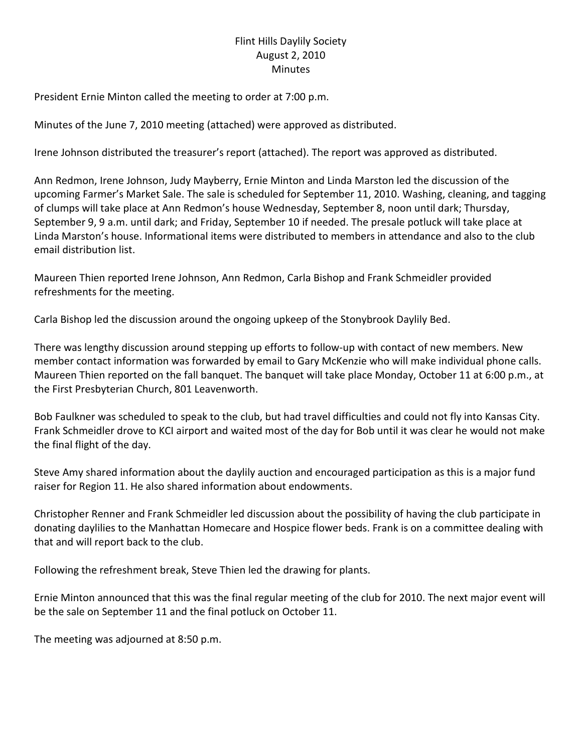# Flint Hills Daylily Society August 2, 2010 **Minutes**

President Ernie Minton called the meeting to order at 7:00 p.m.

Minutes of the June 7, 2010 meeting (attached) were approved as distributed.

Irene Johnson distributed the treasurer's report (attached). The report was approved as distributed.

Ann Redmon, Irene Johnson, Judy Mayberry, Ernie Minton and Linda Marston led the discussion of the upcoming Farmer's Market Sale. The sale is scheduled for September 11, 2010. Washing, cleaning, and tagging of clumps will take place at Ann Redmon's house Wednesday, September 8, noon until dark; Thursday, September 9, 9 a.m. until dark; and Friday, September 10 if needed. The presale potluck will take place at Linda Marston's house. Informational items were distributed to members in attendance and also to the club email distribution list.

Maureen Thien reported Irene Johnson, Ann Redmon, Carla Bishop and Frank Schmeidler provided refreshments for the meeting.

Carla Bishop led the discussion around the ongoing upkeep of the Stonybrook Daylily Bed.

There was lengthy discussion around stepping up efforts to follow-up with contact of new members. New member contact information was forwarded by email to Gary McKenzie who will make individual phone calls. Maureen Thien reported on the fall banquet. The banquet will take place Monday, October 11 at 6:00 p.m., at the First Presbyterian Church, 801 Leavenworth.

Bob Faulkner was scheduled to speak to the club, but had travel difficulties and could not fly into Kansas City. Frank Schmeidler drove to KCI airport and waited most of the day for Bob until it was clear he would not make the final flight of the day.

Steve Amy shared information about the daylily auction and encouraged participation as this is a major fund raiser for Region 11. He also shared information about endowments.

Christopher Renner and Frank Schmeidler led discussion about the possibility of having the club participate in donating daylilies to the Manhattan Homecare and Hospice flower beds. Frank is on a committee dealing with that and will report back to the club.

Following the refreshment break, Steve Thien led the drawing for plants.

Ernie Minton announced that this was the final regular meeting of the club for 2010. The next major event will be the sale on September 11 and the final potluck on October 11.

The meeting was adjourned at 8:50 p.m.